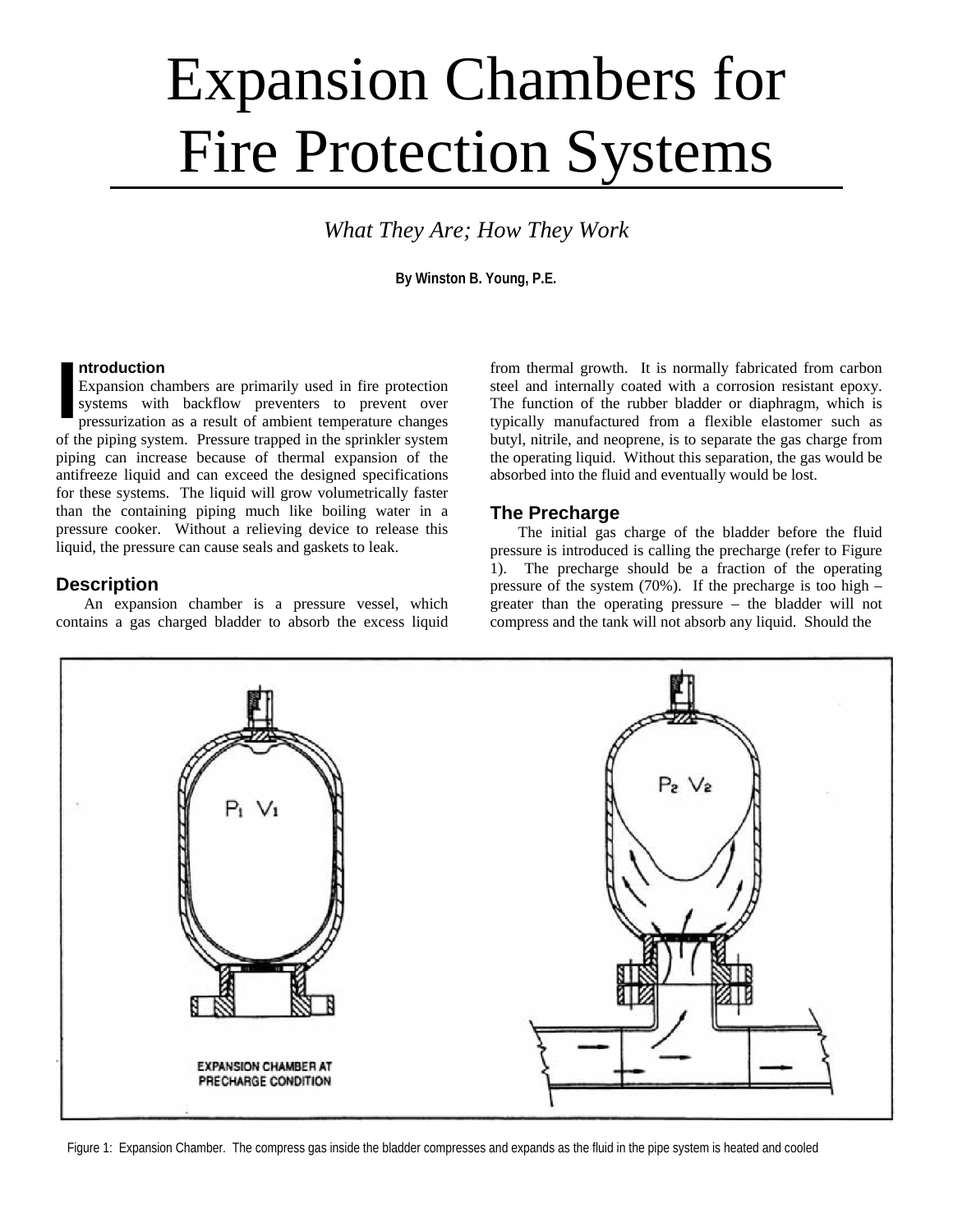# Expansion Chambers for Fire Protection Systems

*What They Are; How They Work* 

**By Winston B. Young, P.E.** 

#### **ntroduction**

Expansion chambers are primarily used in fire protection systems with backflow preventers to prevent over pressurization as a result of ambient temperature changes of the piping system. Pressure trapped in the sprinkler system piping can increase because of thermal expansion of the antifreeze liquid and can exceed the designed specifications for these systems. The liquid will grow volumetrically faster than the containing piping much like boiling water in a pressure cooker. Without a relieving device to release this liquid, the pressure can cause seals and gaskets to leak. **I**

## **Description**

An expansion chamber is a pressure vessel, which contains a gas charged bladder to absorb the excess liquid from thermal growth. It is normally fabricated from carbon steel and internally coated with a corrosion resistant epoxy. The function of the rubber bladder or diaphragm, which is typically manufactured from a flexible elastomer such as butyl, nitrile, and neoprene, is to separate the gas charge from the operating liquid. Without this separation, the gas would be absorbed into the fluid and eventually would be lost.

## **The Precharge**

 The initial gas charge of the bladder before the fluid pressure is introduced is calling the precharge (refer to Figure 1). The precharge should be a fraction of the operating pressure of the system  $(70\%)$ . If the precharge is too high – greater than the operating pressure – the bladder will not compress and the tank will not absorb any liquid. Should the



Figure 1: Expansion Chamber. The compress gas inside the bladder compresses and expands as the fluid in the pipe system is heated and cooled